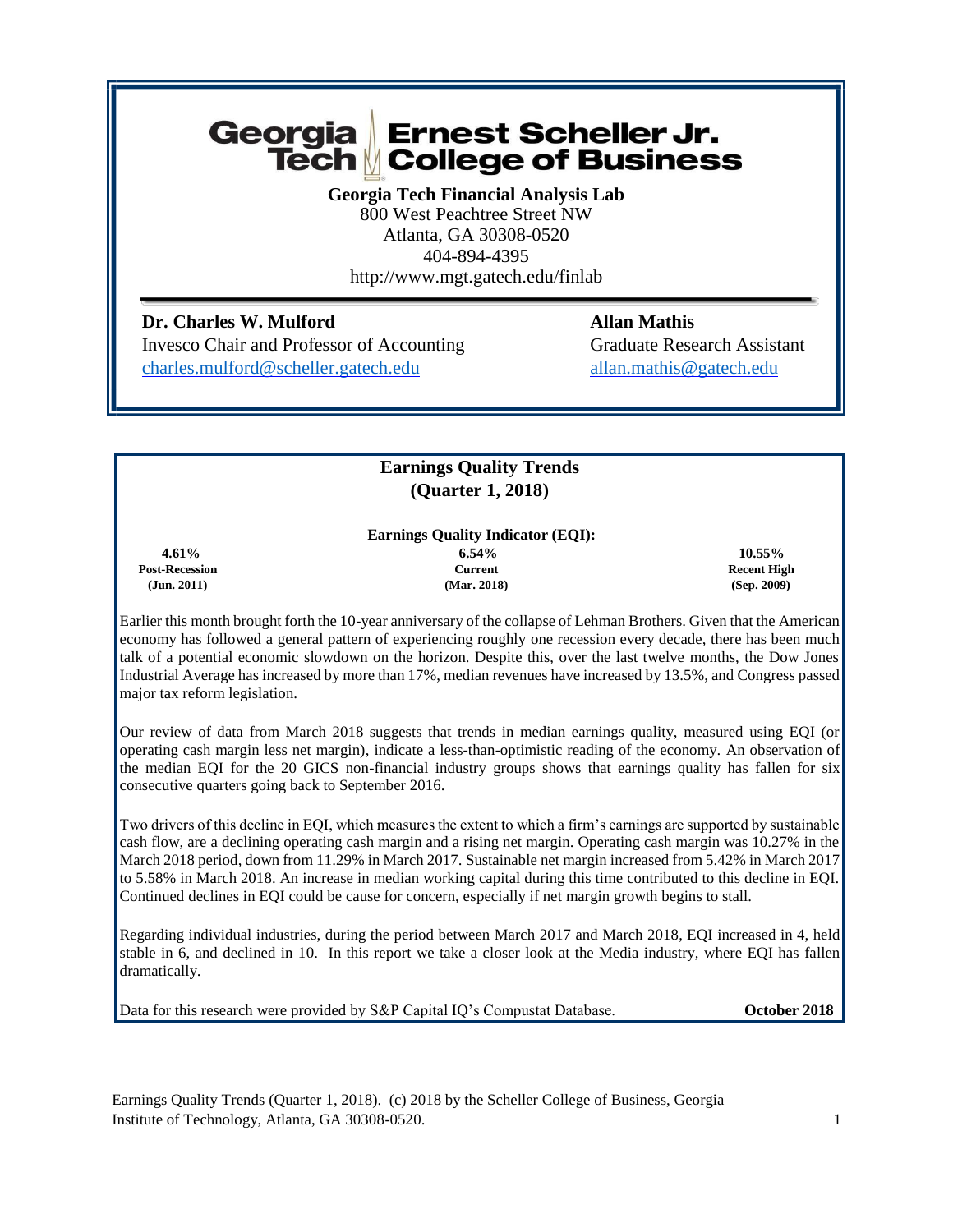# Georgia Ernest Scheller Jr. Tech College of Business

**Georgia Tech Financial Analysis Lab** 800 West Peachtree Street NW Atlanta, GA 30308-0520 404-894-4395 http://www.mgt.gatech.edu/finlab

**Dr. Charles W. Mulford Charles W. Mulford Allan Mathis** Invesco Chair and Professor of Accounting Graduate Research Assistant [charles.mulford@scheller.gatech.edu](mailto:charles.mulford@scheller.gatech.edu) allan.mathis@gatech.edu

# **Earnings Quality Trends (Quarter 1, 2018)**

# **Earnings Quality Indicator (EQI):**

 **Post-Recession Current Recent High** 

 **4.61% 6.54% 10.55% (Jun. 2011) (Mar. 2018) (Sep. 2009)**

Earlier this month brought forth the 10-year anniversary of the collapse of Lehman Brothers. Given that the American economy has followed a general pattern of experiencing roughly one recession every decade, there has been much talk of a potential economic slowdown on the horizon. Despite this, over the last twelve months, the Dow Jones Industrial Average has increased by more than 17%, median revenues have increased by 13.5%, and Congress passed major tax reform legislation.

Our review of data from March 2018 suggests that trends in median earnings quality, measured using EQI (or operating cash margin less net margin), indicate a less-than-optimistic reading of the economy. An observation of the median EQI for the 20 GICS non-financial industry groups shows that earnings quality has fallen for six consecutive quarters going back to September 2016.

Two drivers of this decline in EQI, which measures the extent to which a firm's earnings are supported by sustainable cash flow, are a declining operating cash margin and a rising net margin. Operating cash margin was 10.27% in the March 2018 period, down from 11.29% in March 2017. Sustainable net margin increased from 5.42% in March 2017 to 5.58% in March 2018. An increase in median working capital during this time contributed to this decline in EQI. Continued declines in EQI could be cause for concern, especially if net margin growth begins to stall.

Regarding individual industries, during the period between March 2017 and March 2018, EQI increased in 4, held stable in 6, and declined in 10. In this report we take a closer look at the Media industry, where EQI has fallen dramatically.

Data for this research were provided by S&P Capital IQ's Compustat Database. **October 2018**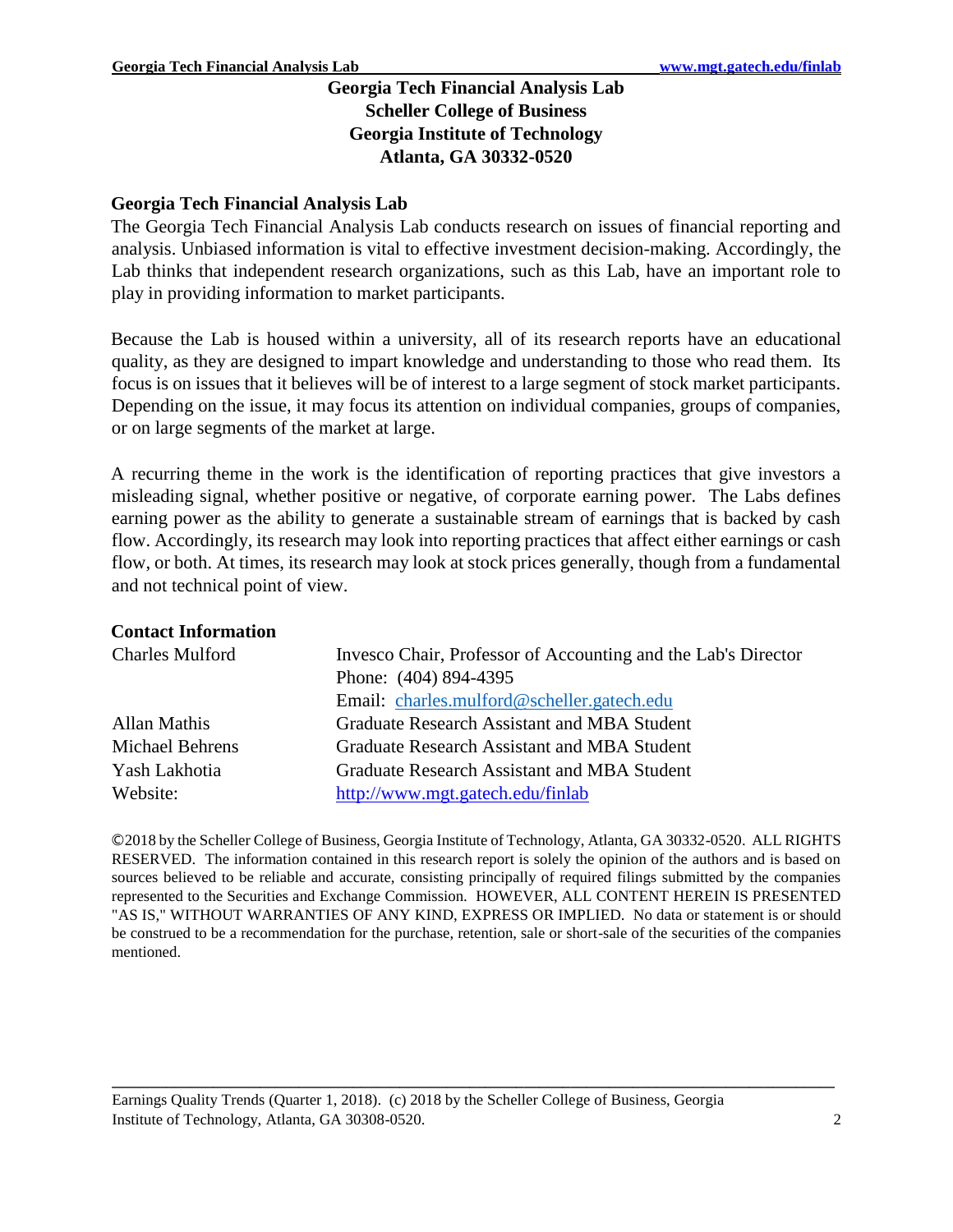# **Georgia Tech Financial Analysis Lab Scheller College of Business Georgia Institute of Technology Atlanta, GA 30332-0520**

# **Georgia Tech Financial Analysis Lab**

The Georgia Tech Financial Analysis Lab conducts research on issues of financial reporting and analysis. Unbiased information is vital to effective investment decision-making. Accordingly, the Lab thinks that independent research organizations, such as this Lab, have an important role to play in providing information to market participants.

Because the Lab is housed within a university, all of its research reports have an educational quality, as they are designed to impart knowledge and understanding to those who read them. Its focus is on issues that it believes will be of interest to a large segment of stock market participants. Depending on the issue, it may focus its attention on individual companies, groups of companies, or on large segments of the market at large.

A recurring theme in the work is the identification of reporting practices that give investors a misleading signal, whether positive or negative, of corporate earning power. The Labs defines earning power as the ability to generate a sustainable stream of earnings that is backed by cash flow. Accordingly, its research may look into reporting practices that affect either earnings or cash flow, or both. At times, its research may look at stock prices generally, though from a fundamental and not technical point of view.

### **Contact Information**

| <b>Charles Mulford</b> | Invesco Chair, Professor of Accounting and the Lab's Director |  |  |
|------------------------|---------------------------------------------------------------|--|--|
|                        | Phone: (404) 894-4395                                         |  |  |
|                        | Email: charles.mulford@scheller.gatech.edu                    |  |  |
| Allan Mathis           | Graduate Research Assistant and MBA Student                   |  |  |
| <b>Michael Behrens</b> | Graduate Research Assistant and MBA Student                   |  |  |
| Yash Lakhotia          | Graduate Research Assistant and MBA Student                   |  |  |
| Website:               | http://www.mgt.gatech.edu/finlab                              |  |  |

©2018 by the Scheller College of Business, Georgia Institute of Technology, Atlanta, GA 30332-0520. ALL RIGHTS RESERVED. The information contained in this research report is solely the opinion of the authors and is based on sources believed to be reliable and accurate, consisting principally of required filings submitted by the companies represented to the Securities and Exchange Commission. HOWEVER, ALL CONTENT HEREIN IS PRESENTED "AS IS," WITHOUT WARRANTIES OF ANY KIND, EXPRESS OR IMPLIED. No data or statement is or should be construed to be a recommendation for the purchase, retention, sale or short-sale of the securities of the companies mentioned.

**\_\_\_\_\_\_\_\_\_\_\_\_\_\_\_\_\_\_\_\_\_\_\_\_\_\_\_\_\_\_\_\_\_\_\_\_\_\_\_\_\_\_\_\_\_\_\_\_\_\_\_\_\_\_\_\_\_\_\_\_\_\_\_\_\_\_\_\_\_\_\_\_\_\_\_\_\_\_\_\_\_\_\_\_\_\_\_\_\_\_\_\_\_**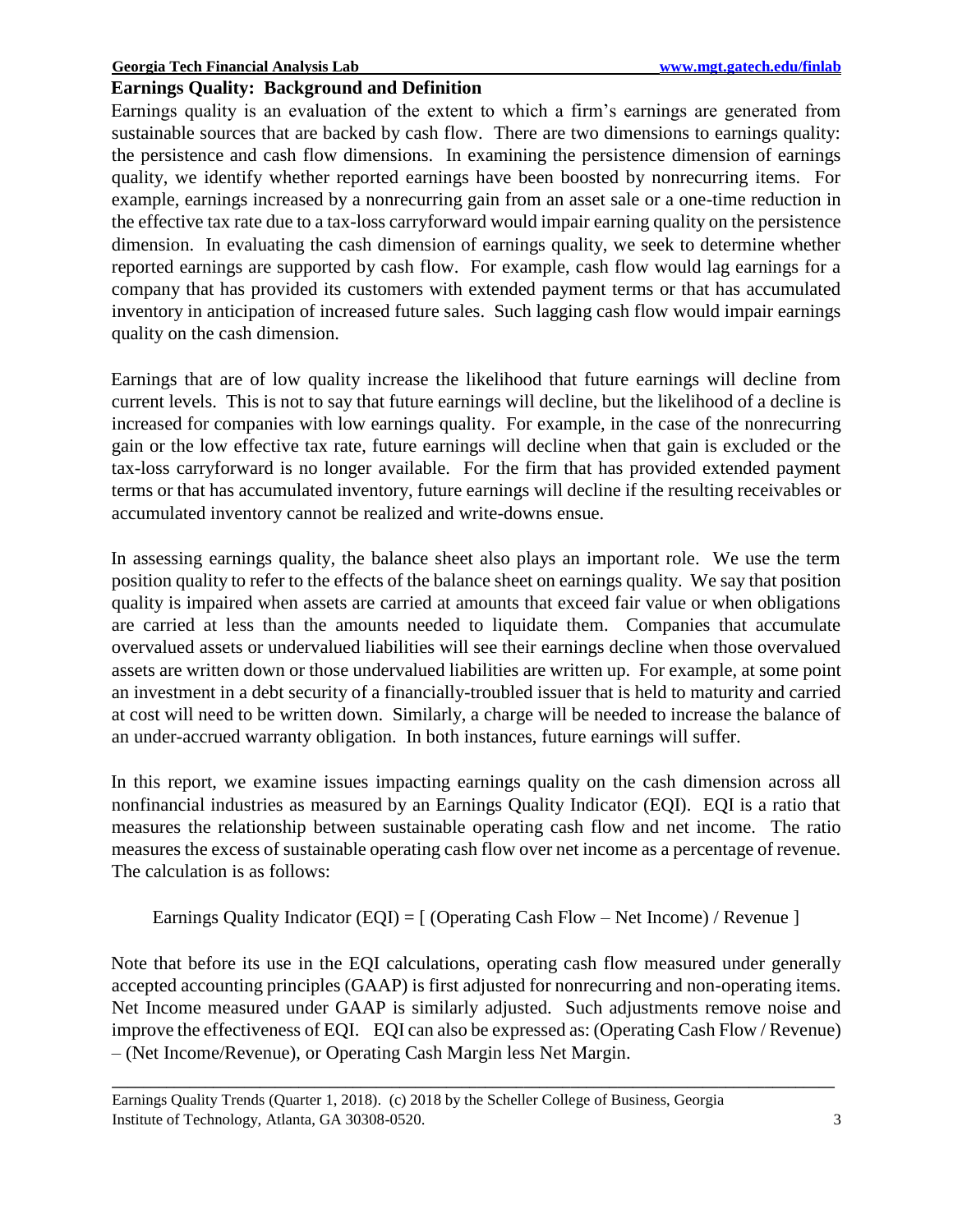# **Earnings Quality: Background and Definition**

Earnings quality is an evaluation of the extent to which a firm's earnings are generated from sustainable sources that are backed by cash flow. There are two dimensions to earnings quality: the persistence and cash flow dimensions. In examining the persistence dimension of earnings quality, we identify whether reported earnings have been boosted by nonrecurring items. For example, earnings increased by a nonrecurring gain from an asset sale or a one-time reduction in the effective tax rate due to a tax-loss carryforward would impair earning quality on the persistence dimension. In evaluating the cash dimension of earnings quality, we seek to determine whether reported earnings are supported by cash flow. For example, cash flow would lag earnings for a company that has provided its customers with extended payment terms or that has accumulated inventory in anticipation of increased future sales. Such lagging cash flow would impair earnings quality on the cash dimension.

Earnings that are of low quality increase the likelihood that future earnings will decline from current levels. This is not to say that future earnings will decline, but the likelihood of a decline is increased for companies with low earnings quality. For example, in the case of the nonrecurring gain or the low effective tax rate, future earnings will decline when that gain is excluded or the tax-loss carryforward is no longer available. For the firm that has provided extended payment terms or that has accumulated inventory, future earnings will decline if the resulting receivables or accumulated inventory cannot be realized and write-downs ensue.

In assessing earnings quality, the balance sheet also plays an important role. We use the term position quality to refer to the effects of the balance sheet on earnings quality. We say that position quality is impaired when assets are carried at amounts that exceed fair value or when obligations are carried at less than the amounts needed to liquidate them. Companies that accumulate overvalued assets or undervalued liabilities will see their earnings decline when those overvalued assets are written down or those undervalued liabilities are written up. For example, at some point an investment in a debt security of a financially-troubled issuer that is held to maturity and carried at cost will need to be written down. Similarly, a charge will be needed to increase the balance of an under-accrued warranty obligation. In both instances, future earnings will suffer.

In this report, we examine issues impacting earnings quality on the cash dimension across all nonfinancial industries as measured by an Earnings Quality Indicator (EQI). EQI is a ratio that measures the relationship between sustainable operating cash flow and net income. The ratio measures the excess of sustainable operating cash flow over net income as a percentage of revenue. The calculation is as follows:

Earnings Quality Indicator (EQI) =  $\lceil$  (Operating Cash Flow – Net Income) / Revenue  $\lceil$ 

Note that before its use in the EQI calculations, operating cash flow measured under generally accepted accounting principles (GAAP) is first adjusted for nonrecurring and non-operating items. Net Income measured under GAAP is similarly adjusted. Such adjustments remove noise and improve the effectiveness of EQI. EQI can also be expressed as: (Operating Cash Flow / Revenue) – (Net Income/Revenue), or Operating Cash Margin less Net Margin.

Earnings Quality Trends (Quarter 1, 2018). (c) 2018 by the Scheller College of Business, Georgia Institute of Technology, Atlanta, GA 30308-0520. 3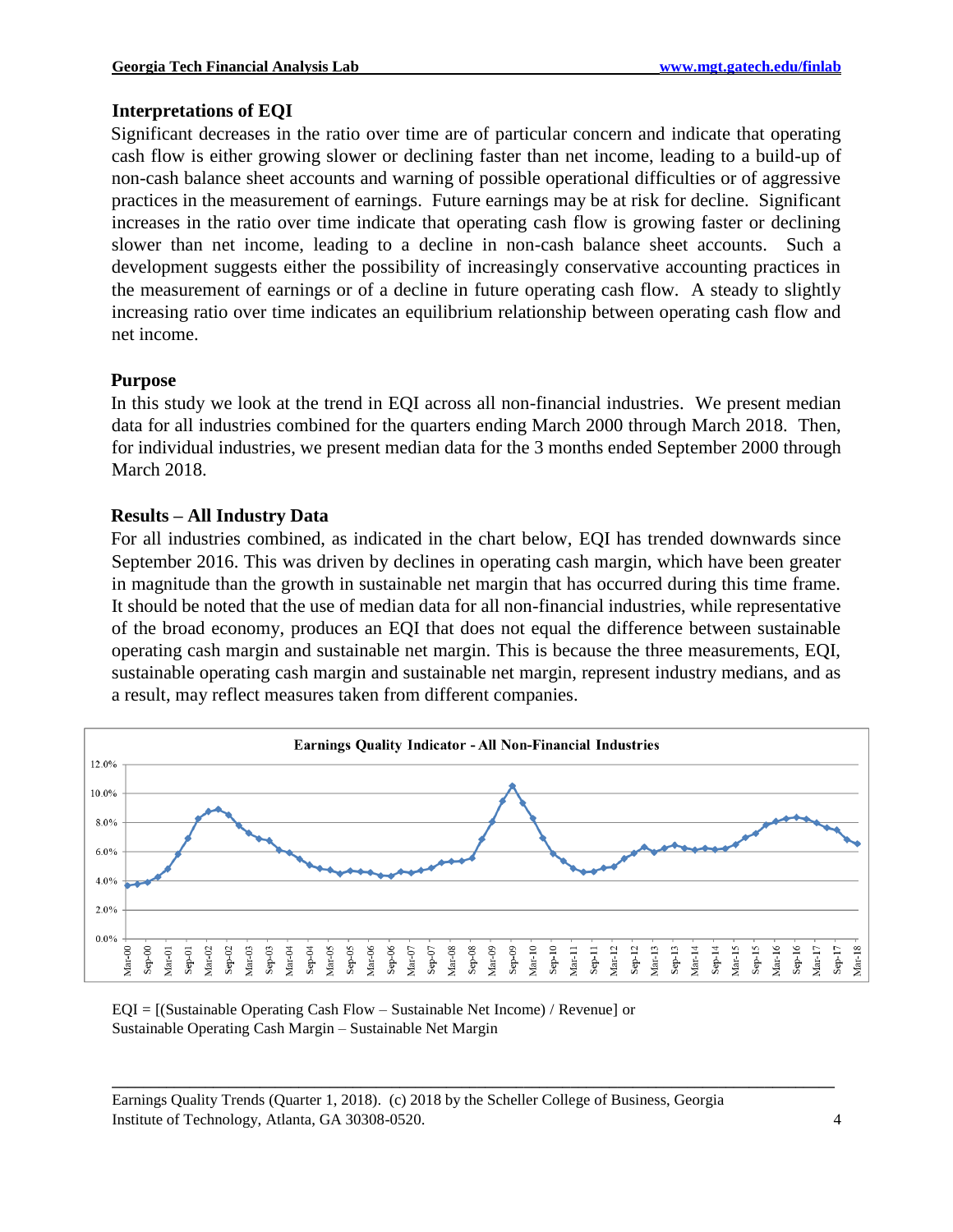### **Interpretations of EQI**

Significant decreases in the ratio over time are of particular concern and indicate that operating cash flow is either growing slower or declining faster than net income, leading to a build-up of non-cash balance sheet accounts and warning of possible operational difficulties or of aggressive practices in the measurement of earnings. Future earnings may be at risk for decline. Significant increases in the ratio over time indicate that operating cash flow is growing faster or declining slower than net income, leading to a decline in non-cash balance sheet accounts. Such a development suggests either the possibility of increasingly conservative accounting practices in the measurement of earnings or of a decline in future operating cash flow. A steady to slightly increasing ratio over time indicates an equilibrium relationship between operating cash flow and net income.

#### **Purpose**

In this study we look at the trend in EQI across all non-financial industries. We present median data for all industries combined for the quarters ending March 2000 through March 2018. Then, for individual industries, we present median data for the 3 months ended September 2000 through March 2018.

#### **Results – All Industry Data**

For all industries combined, as indicated in the chart below, EQI has trended downwards since September 2016. This was driven by declines in operating cash margin, which have been greater in magnitude than the growth in sustainable net margin that has occurred during this time frame. It should be noted that the use of median data for all non-financial industries, while representative of the broad economy, produces an EQI that does not equal the difference between sustainable operating cash margin and sustainable net margin. This is because the three measurements, EQI, sustainable operating cash margin and sustainable net margin, represent industry medians, and as a result, may reflect measures taken from different companies.



**\_\_\_\_\_\_\_\_\_\_\_\_\_\_\_\_\_\_\_\_\_\_\_\_\_\_\_\_\_\_\_\_\_\_\_\_\_\_\_\_\_\_\_\_\_\_\_\_\_\_\_\_\_\_\_\_\_\_\_\_\_\_\_\_\_\_\_\_\_\_\_\_\_\_\_\_\_\_\_\_\_\_\_\_\_\_\_\_\_\_\_\_\_**

EQI = [(Sustainable Operating Cash Flow – Sustainable Net Income) / Revenue] or Sustainable Operating Cash Margin – Sustainable Net Margin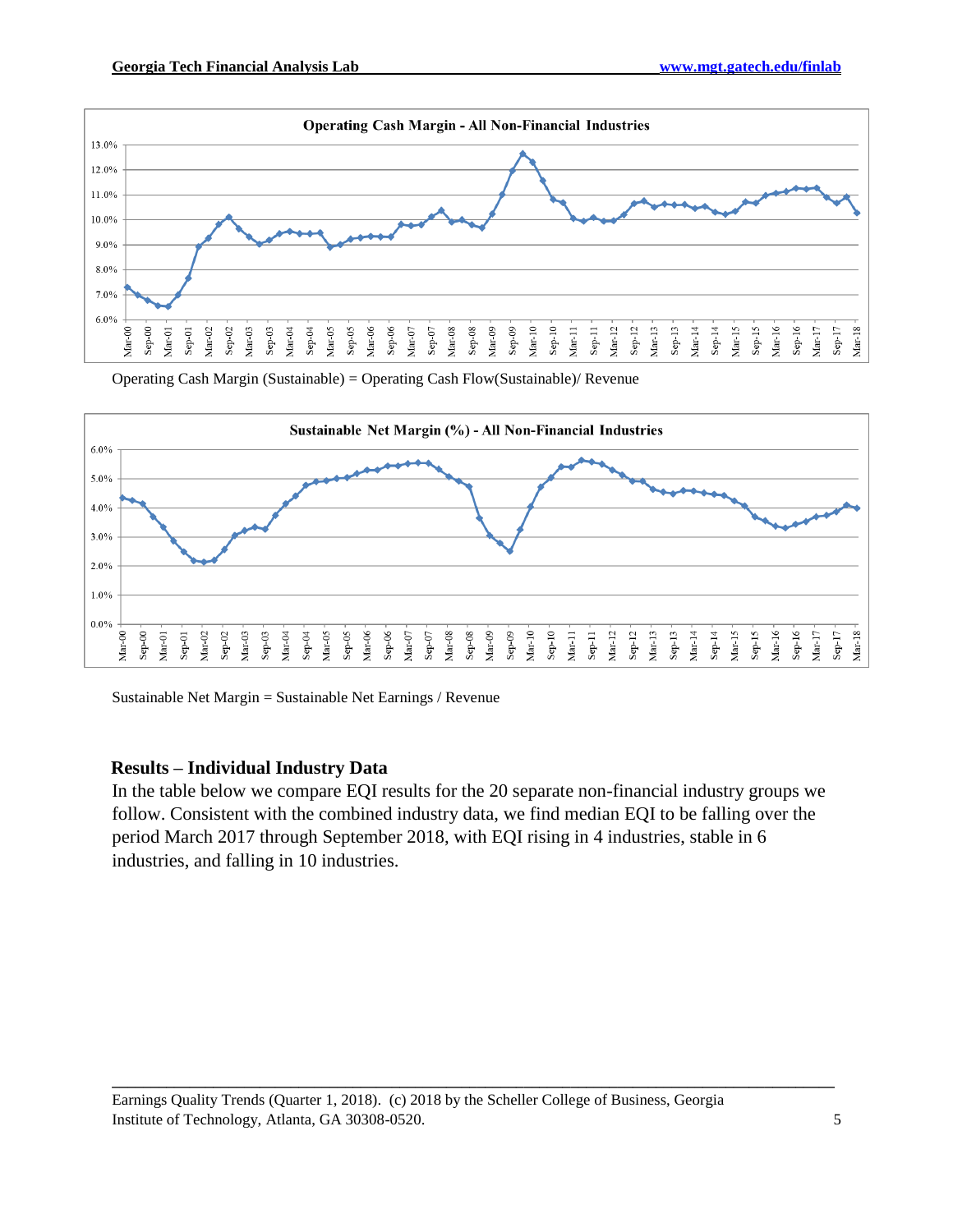

Operating Cash Margin (Sustainable) = Operating Cash Flow(Sustainable)/ Revenue



Sustainable Net Margin = Sustainable Net Earnings / Revenue

# **Results – Individual Industry Data**

In the table below we compare EQI results for the 20 separate non-financial industry groups we follow. Consistent with the combined industry data, we find median EQI to be falling over the period March 2017 through September 2018, with EQI rising in 4 industries, stable in 6 industries, and falling in 10 industries.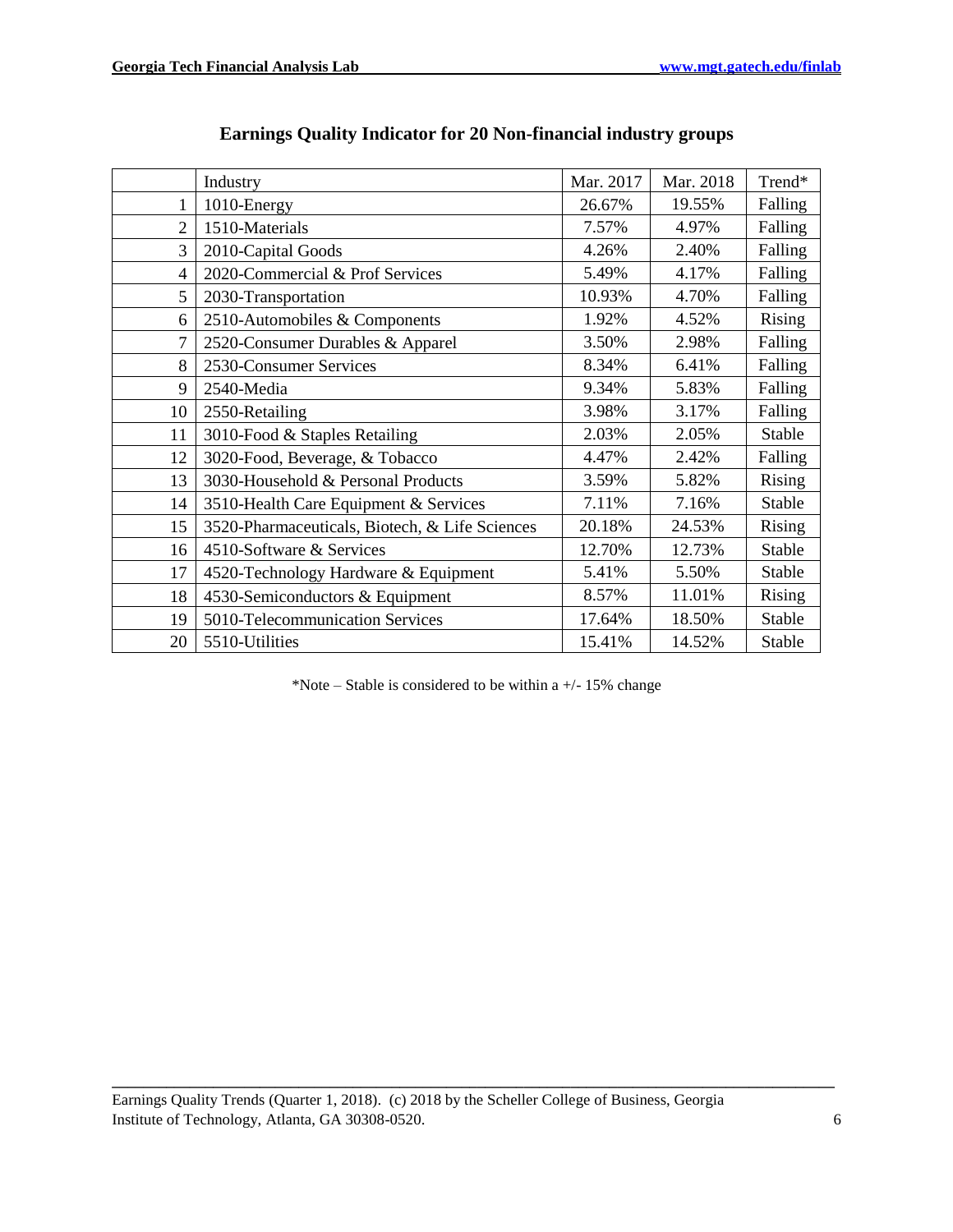|                | Industry                                       | Mar. 2017 | Mar. 2018 | Trend*        |
|----------------|------------------------------------------------|-----------|-----------|---------------|
| 1              | 1010-Energy                                    | 26.67%    | 19.55%    | Falling       |
| $\overline{2}$ | 1510-Materials                                 | 7.57%     | 4.97%     | Falling       |
| 3              | 2010-Capital Goods                             | 4.26%     | 2.40%     | Falling       |
| $\overline{4}$ | 2020-Commercial & Prof Services                | 5.49%     | 4.17%     | Falling       |
| 5              | 2030-Transportation                            | 10.93%    | 4.70%     | Falling       |
| 6              | 2510-Automobiles & Components                  | 1.92%     | 4.52%     | Rising        |
| 7              | 2520-Consumer Durables & Apparel               | 3.50%     | 2.98%     | Falling       |
| 8              | 2530-Consumer Services                         | 8.34%     | 6.41%     | Falling       |
| 9              | 2540-Media                                     | 9.34%     | 5.83%     | Falling       |
| 10             | 2550-Retailing                                 | 3.98%     | 3.17%     | Falling       |
| 11             | 3010-Food & Staples Retailing                  | 2.03%     | 2.05%     | <b>Stable</b> |
| 12             | 3020-Food, Beverage, & Tobacco                 | 4.47%     | 2.42%     | Falling       |
| 13             | 3030-Household & Personal Products             | 3.59%     | 5.82%     | Rising        |
| 14             | 3510-Health Care Equipment & Services          | 7.11%     | 7.16%     | Stable        |
| 15             | 3520-Pharmaceuticals, Biotech, & Life Sciences | 20.18%    | 24.53%    | Rising        |
| 16             | 4510-Software & Services                       | 12.70%    | 12.73%    | Stable        |
| 17             | 4520-Technology Hardware & Equipment           | 5.41%     | 5.50%     | Stable        |
| 18             | 4530-Semiconductors & Equipment                | 8.57%     | 11.01%    | Rising        |
| 19             | 5010-Telecommunication Services                | 17.64%    | 18.50%    | Stable        |
| 20             | 5510-Utilities                                 | 15.41%    | 14.52%    | Stable        |

# **Earnings Quality Indicator for 20 Non-financial industry groups**

\*Note – Stable is considered to be within a  $+/-15%$  change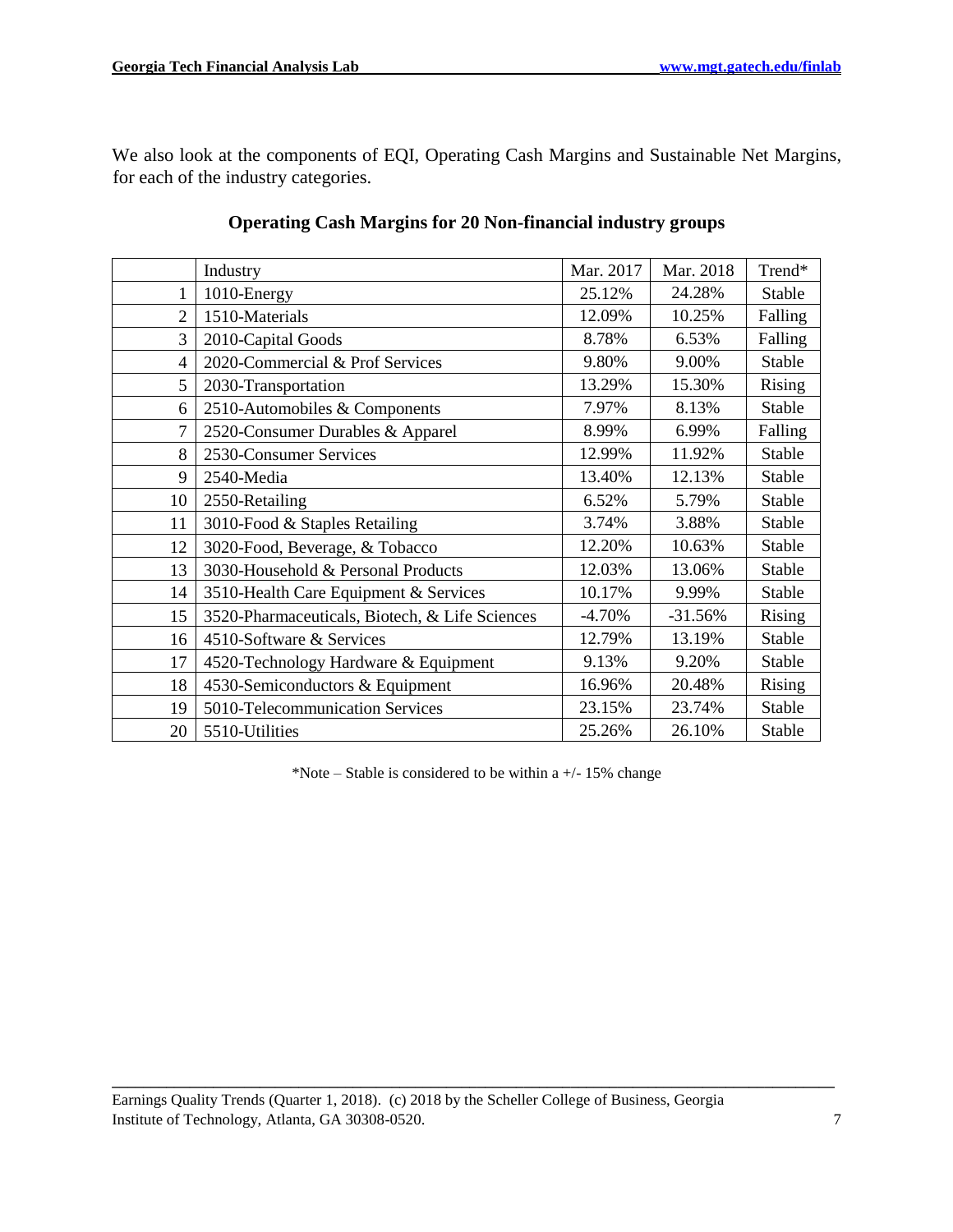We also look at the components of EQI, Operating Cash Margins and Sustainable Net Margins, for each of the industry categories.

|                | Industry                                       | Mar. 2017 | Mar. 2018 | Trend*  |
|----------------|------------------------------------------------|-----------|-----------|---------|
| 1              | 1010-Energy                                    | 25.12%    | 24.28%    | Stable  |
| $\overline{c}$ | 1510-Materials                                 | 12.09%    | 10.25%    | Falling |
| 3              | 2010-Capital Goods                             | 8.78%     | 6.53%     | Falling |
| 4              | 2020-Commercial & Prof Services                | 9.80%     | 9.00%     | Stable  |
| 5              | 2030-Transportation                            | 13.29%    | 15.30%    | Rising  |
| 6              | 2510-Automobiles & Components                  | 7.97%     | 8.13%     | Stable  |
| $\overline{7}$ | 2520-Consumer Durables & Apparel               | 8.99%     | 6.99%     | Falling |
| 8              | 2530-Consumer Services                         | 12.99%    | 11.92%    | Stable  |
| 9              | 2540-Media                                     | 13.40%    | 12.13%    | Stable  |
| 10             | 2550-Retailing                                 | 6.52%     | 5.79%     | Stable  |
| 11             | 3010-Food & Staples Retailing                  | 3.74%     | 3.88%     | Stable  |
| 12             | 3020-Food, Beverage, & Tobacco                 | 12.20%    | 10.63%    | Stable  |
| 13             | 3030-Household & Personal Products             | 12.03%    | 13.06%    | Stable  |
| 14             | 3510-Health Care Equipment & Services          | 10.17%    | 9.99%     | Stable  |
| 15             | 3520-Pharmaceuticals, Biotech, & Life Sciences | $-4.70%$  | $-31.56%$ | Rising  |
| 16             | 4510-Software & Services                       | 12.79%    | 13.19%    | Stable  |
| 17             | 4520-Technology Hardware & Equipment           | 9.13%     | 9.20%     | Stable  |
| 18             | 4530-Semiconductors & Equipment                | 16.96%    | 20.48%    | Rising  |
| 19             | 5010-Telecommunication Services                | 23.15%    | 23.74%    | Stable  |
| 20             | 5510-Utilities                                 | 25.26%    | 26.10%    | Stable  |

# **Operating Cash Margins for 20 Non-financial industry groups**

\*Note – Stable is considered to be within a  $+/- 15\%$  change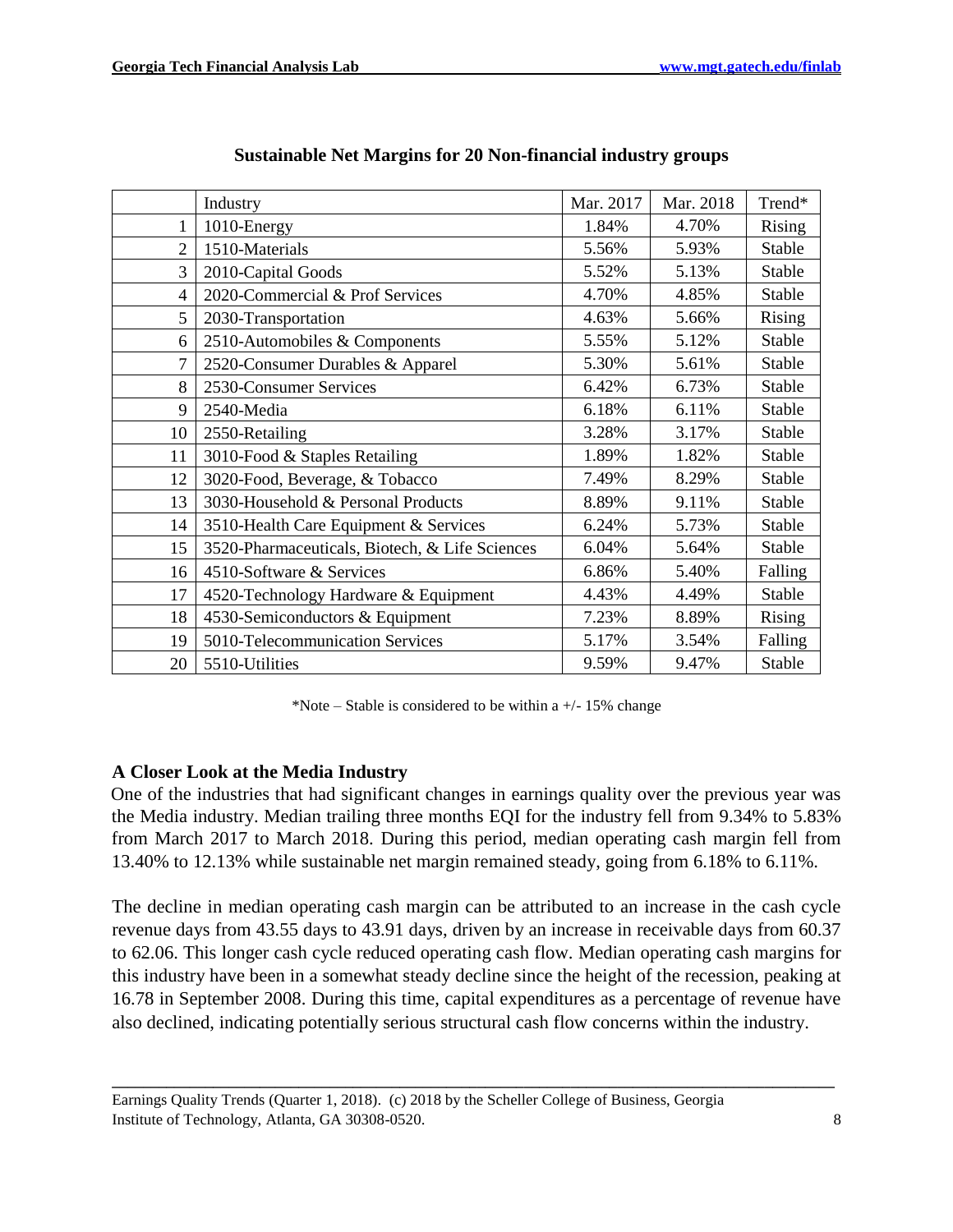|                | Industry                                       | Mar. 2017 | Mar. 2018 | Trend*  |
|----------------|------------------------------------------------|-----------|-----------|---------|
| 1              | 1010-Energy                                    | 1.84%     | 4.70%     | Rising  |
| $\overline{2}$ | 1510-Materials                                 | 5.56%     | 5.93%     | Stable  |
| 3              | 2010-Capital Goods                             | 5.52%     | 5.13%     | Stable  |
| $\overline{4}$ | 2020-Commercial & Prof Services                | 4.70%     | 4.85%     | Stable  |
| 5              | 2030-Transportation                            | 4.63%     | 5.66%     | Rising  |
| 6              | 2510-Automobiles & Components                  | 5.55%     | 5.12%     | Stable  |
| $\overline{7}$ | 2520-Consumer Durables & Apparel               | 5.30%     | 5.61%     | Stable  |
| 8              | 2530-Consumer Services                         | 6.42%     | 6.73%     | Stable  |
| 9              | 2540-Media                                     | 6.18%     | 6.11%     | Stable  |
| 10             | 2550-Retailing                                 | 3.28%     | 3.17%     | Stable  |
| 11             | 3010-Food & Staples Retailing                  | 1.89%     | 1.82%     | Stable  |
| 12             | 3020-Food, Beverage, & Tobacco                 | 7.49%     | 8.29%     | Stable  |
| 13             | 3030-Household & Personal Products             | 8.89%     | 9.11%     | Stable  |
| 14             | 3510-Health Care Equipment & Services          | 6.24%     | 5.73%     | Stable  |
| 15             | 3520-Pharmaceuticals, Biotech, & Life Sciences | 6.04%     | 5.64%     | Stable  |
| 16             | 4510-Software & Services                       | 6.86%     | 5.40%     | Falling |
| 17             | 4520-Technology Hardware & Equipment           | 4.43%     | 4.49%     | Stable  |
| 18             | 4530-Semiconductors & Equipment                | 7.23%     | 8.89%     | Rising  |
| 19             | 5010-Telecommunication Services                | 5.17%     | 3.54%     | Falling |
| 20             | 5510-Utilities                                 | 9.59%     | 9.47%     | Stable  |

# **Sustainable Net Margins for 20 Non-financial industry groups**

\*Note – Stable is considered to be within a  $+/- 15\%$  change

# **A Closer Look at the Media Industry**

One of the industries that had significant changes in earnings quality over the previous year was the Media industry. Median trailing three months EQI for the industry fell from 9.34% to 5.83% from March 2017 to March 2018. During this period, median operating cash margin fell from 13.40% to 12.13% while sustainable net margin remained steady, going from 6.18% to 6.11%.

The decline in median operating cash margin can be attributed to an increase in the cash cycle revenue days from 43.55 days to 43.91 days, driven by an increase in receivable days from 60.37 to 62.06. This longer cash cycle reduced operating cash flow. Median operating cash margins for this industry have been in a somewhat steady decline since the height of the recession, peaking at 16.78 in September 2008. During this time, capital expenditures as a percentage of revenue have also declined, indicating potentially serious structural cash flow concerns within the industry.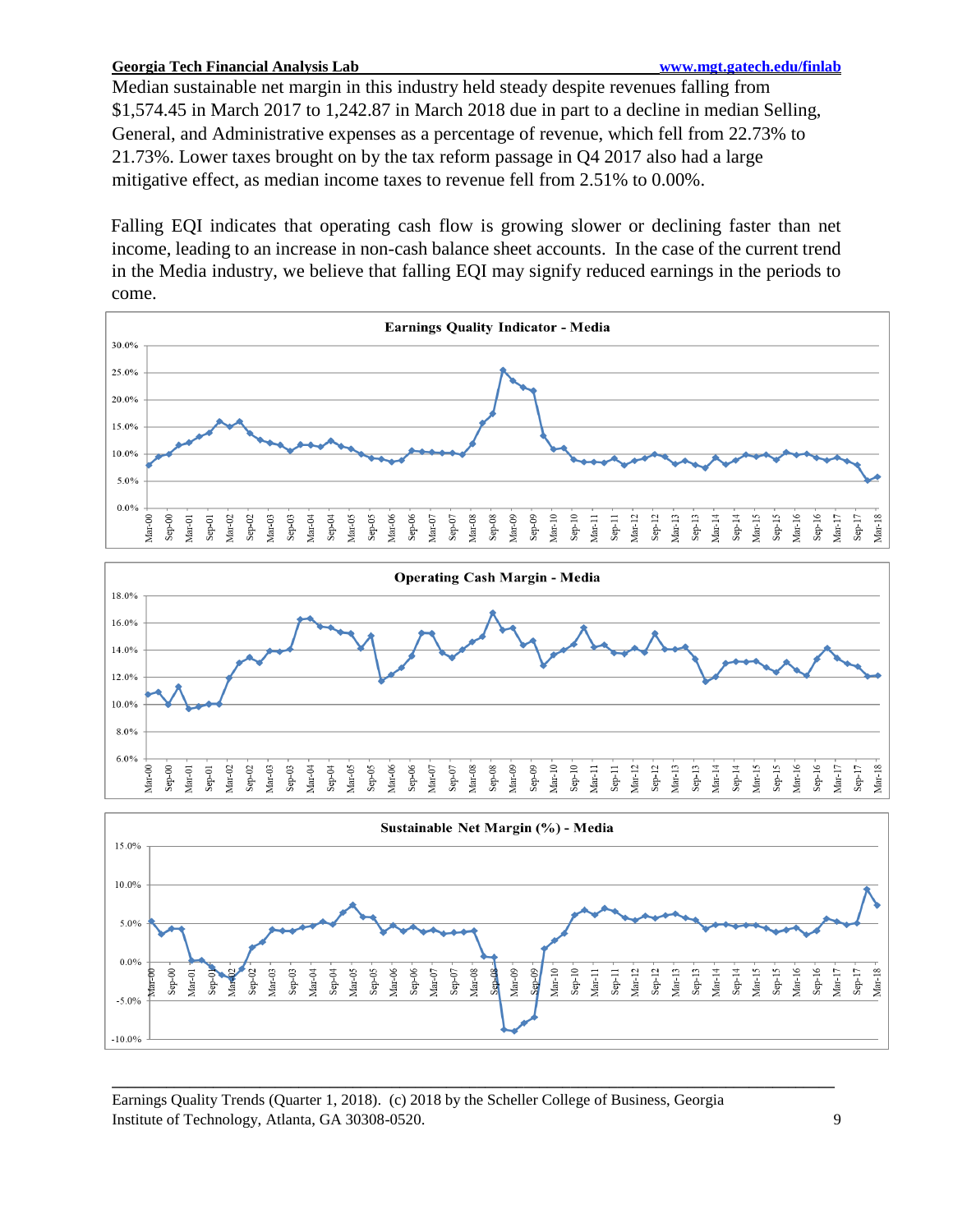#### **Georgia Tech Financial Analysis Lab www.mgt.gatech.edu/finlab**

Median sustainable net margin in this industry held steady despite revenues falling from \$1,574.45 in March 2017 to 1,242.87 in March 2018 due in part to a decline in median Selling, General, and Administrative expenses as a percentage of revenue, which fell from 22.73% to 21.73%. Lower taxes brought on by the tax reform passage in Q4 2017 also had a large mitigative effect, as median income taxes to revenue fell from 2.51% to 0.00%.

Falling EQI indicates that operating cash flow is growing slower or declining faster than net income, leading to an increase in non-cash balance sheet accounts. In the case of the current trend in the Media industry, we believe that falling EQI may signify reduced earnings in the periods to come.





**\_\_\_\_\_\_\_\_\_\_\_\_\_\_\_\_\_\_\_\_\_\_\_\_\_\_\_\_\_\_\_\_\_\_\_\_\_\_\_\_\_\_\_\_\_\_\_\_\_\_\_\_\_\_\_\_\_\_\_\_\_\_\_\_\_\_\_\_\_\_\_\_\_\_\_\_\_\_\_\_\_\_\_\_\_\_\_\_\_\_\_\_\_**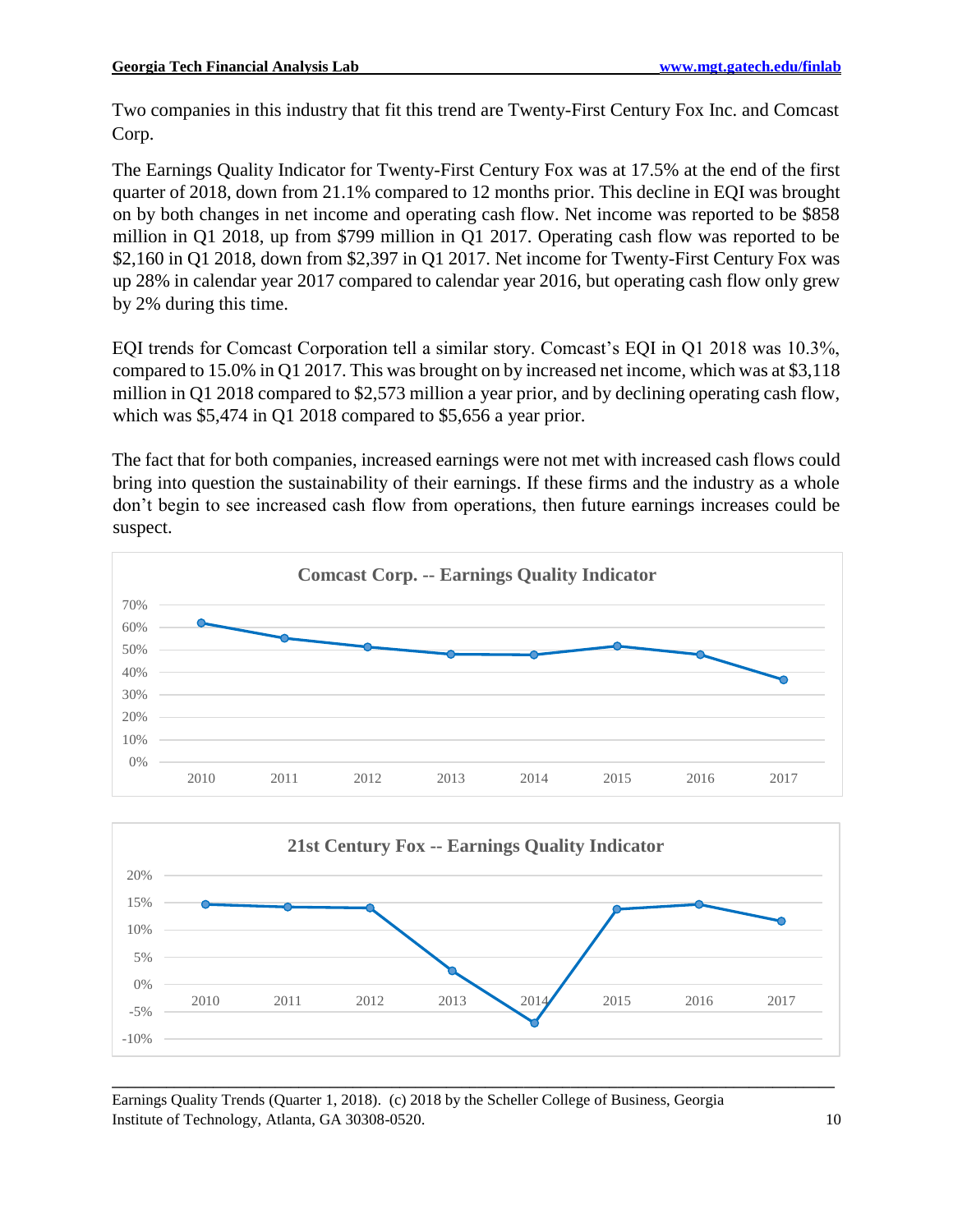Two companies in this industry that fit this trend are Twenty-First Century Fox Inc. and Comcast Corp.

The Earnings Quality Indicator for Twenty-First Century Fox was at 17.5% at the end of the first quarter of 2018, down from 21.1% compared to 12 months prior. This decline in EQI was brought on by both changes in net income and operating cash flow. Net income was reported to be \$858 million in Q1 2018, up from \$799 million in Q1 2017. Operating cash flow was reported to be \$2,160 in Q1 2018, down from \$2,397 in Q1 2017. Net income for Twenty-First Century Fox was up 28% in calendar year 2017 compared to calendar year 2016, but operating cash flow only grew by 2% during this time.

EQI trends for Comcast Corporation tell a similar story. Comcast's EQI in Q1 2018 was 10.3%, compared to 15.0% in Q1 2017. This was brought on by increased net income, which was at \$3,118 million in Q1 2018 compared to \$2,573 million a year prior, and by declining operating cash flow, which was \$5,474 in Q1 2018 compared to \$5,656 a year prior.

The fact that for both companies, increased earnings were not met with increased cash flows could bring into question the sustainability of their earnings. If these firms and the industry as a whole don't begin to see increased cash flow from operations, then future earnings increases could be suspect.